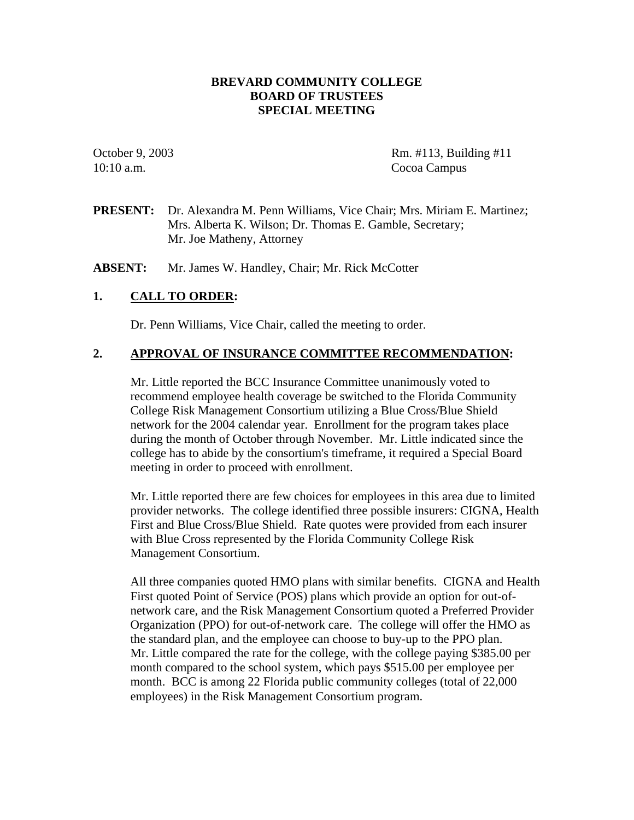### **BREVARD COMMUNITY COLLEGE BOARD OF TRUSTEES SPECIAL MEETING**

10:10 a.m. Cocoa Campus

October 9, 2003 Rm. #113, Building #11

**PRESENT:** Dr. Alexandra M. Penn Williams, Vice Chair; Mrs. Miriam E. Martinez; Mrs. Alberta K. Wilson; Dr. Thomas E. Gamble, Secretary; Mr. Joe Matheny, Attorney

ABSENT: Mr. James W. Handley, Chair; Mr. Rick McCotter

### **1. CALL TO ORDER:**

Dr. Penn Williams, Vice Chair, called the meeting to order.

#### **2. APPROVAL OF INSURANCE COMMITTEE RECOMMENDATION:**

Mr. Little reported the BCC Insurance Committee unanimously voted to recommend employee health coverage be switched to the Florida Community College Risk Management Consortium utilizing a Blue Cross/Blue Shield network for the 2004 calendar year. Enrollment for the program takes place during the month of October through November. Mr. Little indicated since the college has to abide by the consortium's timeframe, it required a Special Board meeting in order to proceed with enrollment.

Mr. Little reported there are few choices for employees in this area due to limited provider networks. The college identified three possible insurers: CIGNA, Health First and Blue Cross/Blue Shield. Rate quotes were provided from each insurer with Blue Cross represented by the Florida Community College Risk Management Consortium.

 All three companies quoted HMO plans with similar benefits. CIGNA and Health First quoted Point of Service (POS) plans which provide an option for out-of network care, and the Risk Management Consortium quoted a Preferred Provider Organization (PPO) for out-of-network care. The college will offer the HMO as the standard plan, and the employee can choose to buy-up to the PPO plan. Mr. Little compared the rate for the college, with the college paying \$385.00 per month compared to the school system, which pays \$515.00 per employee per month. BCC is among 22 Florida public community colleges (total of 22,000 employees) in the Risk Management Consortium program.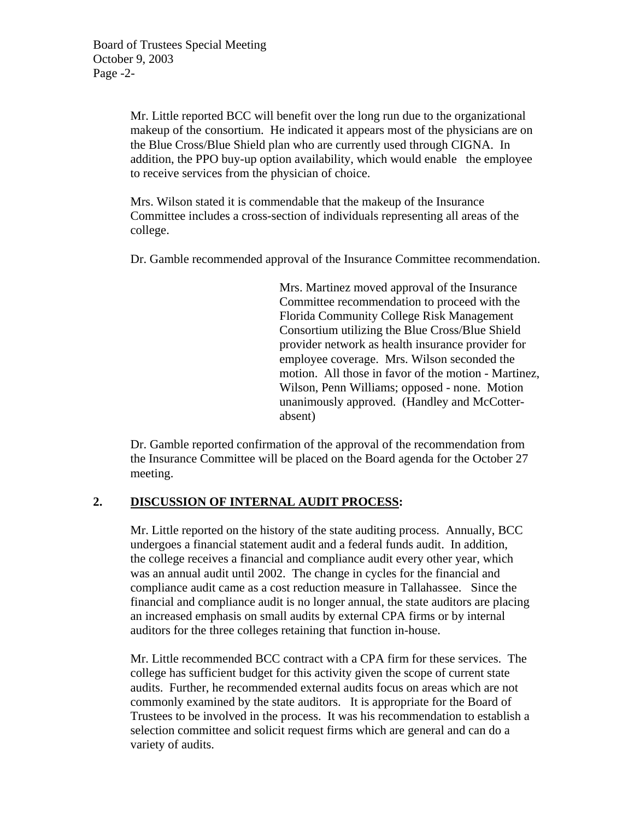Mr. Little reported BCC will benefit over the long run due to the organizational makeup of the consortium. He indicated it appears most of the physicians are on the Blue Cross/Blue Shield plan who are currently used through CIGNA. In addition, the PPO buy-up option availability, which would enable the employee to receive services from the physician of choice.

Mrs. Wilson stated it is commendable that the makeup of the Insurance Committee includes a cross-section of individuals representing all areas of the college.

Dr. Gamble recommended approval of the Insurance Committee recommendation.

 Mrs. Martinez moved approval of the Insurance Committee recommendation to proceed with the Florida Community College Risk Management Consortium utilizing the Blue Cross/Blue Shield provider network as health insurance provider for employee coverage. Mrs. Wilson seconded the motion. All those in favor of the motion - Martinez, Wilson, Penn Williams; opposed - none. Motion unanimously approved. (Handley and McCotter absent)

 Dr. Gamble reported confirmation of the approval of the recommendation from the Insurance Committee will be placed on the Board agenda for the October 27 meeting.

#### **2. DISCUSSION OF INTERNAL AUDIT PROCESS:**

Mr. Little reported on the history of the state auditing process. Annually, BCC undergoes a financial statement audit and a federal funds audit. In addition, the college receives a financial and compliance audit every other year, which was an annual audit until 2002. The change in cycles for the financial and compliance audit came as a cost reduction measure in Tallahassee. Since the financial and compliance audit is no longer annual, the state auditors are placing an increased emphasis on small audits by external CPA firms or by internal auditors for the three colleges retaining that function in-house.

Mr. Little recommended BCC contract with a CPA firm for these services. The college has sufficient budget for this activity given the scope of current state audits. Further, he recommended external audits focus on areas which are not commonly examined by the state auditors. It is appropriate for the Board of Trustees to be involved in the process. It was his recommendation to establish a selection committee and solicit request firms which are general and can do a variety of audits.